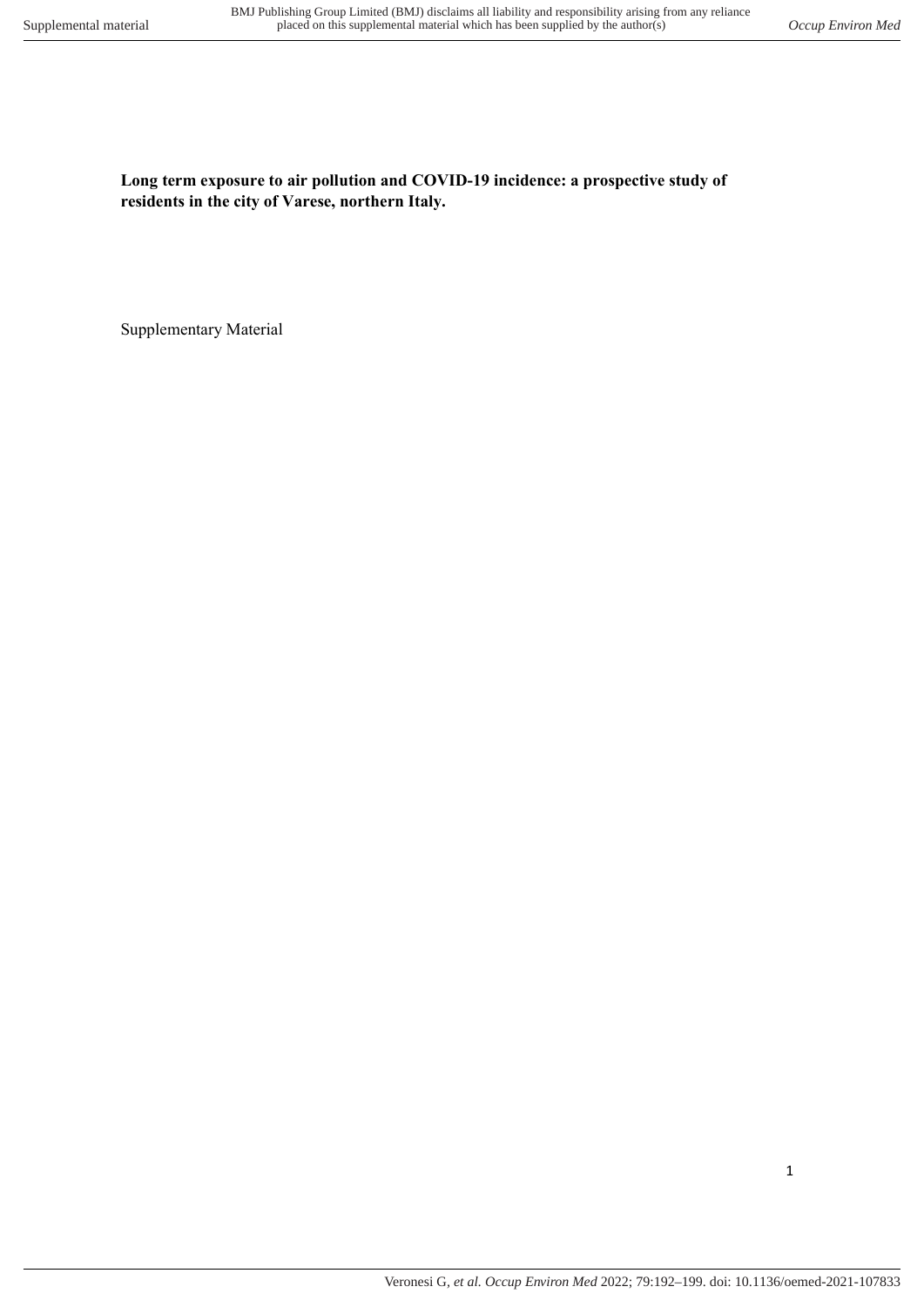Long term exposure to air pollution and COVID-19 incidence: a prospective study of residents in the city of Varese, northern Italy.

Supplementary Material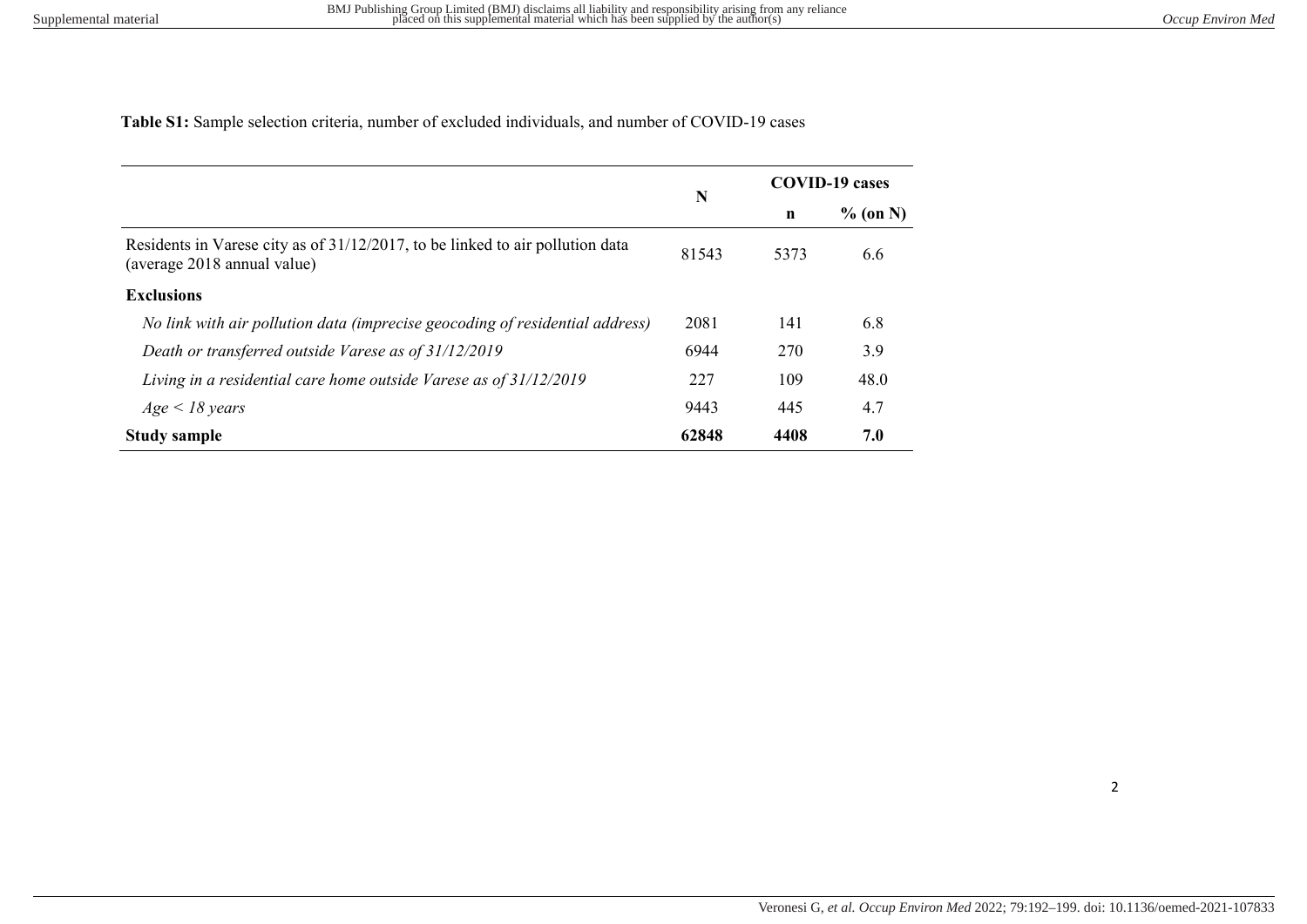Table S1: Sample selection criteria, number of excluded individuals, and number of COVID-19 cases

|                                                                                                              | N     | <b>COVID-19 cases</b> |            |  |
|--------------------------------------------------------------------------------------------------------------|-------|-----------------------|------------|--|
|                                                                                                              |       | n                     | $%$ (on N) |  |
| Residents in Varese city as of 31/12/2017, to be linked to air pollution data<br>(average 2018 annual value) | 81543 | 5373                  | 6.6        |  |
| <b>Exclusions</b>                                                                                            |       |                       |            |  |
| No link with air pollution data (imprecise geocoding of residential address)                                 | 2081  | 141                   | 6.8        |  |
| Death or transferred outside Varese as of 31/12/2019                                                         | 6944  | 270                   | 3.9        |  |
| Living in a residential care home outside Varese as of 31/12/2019                                            | 227   | 109                   | 48.0       |  |
| $Age < 18 \text{ years}$                                                                                     | 9443  | 445                   | 4.7        |  |
| <b>Study sample</b>                                                                                          | 62848 | 4408                  | 7.0        |  |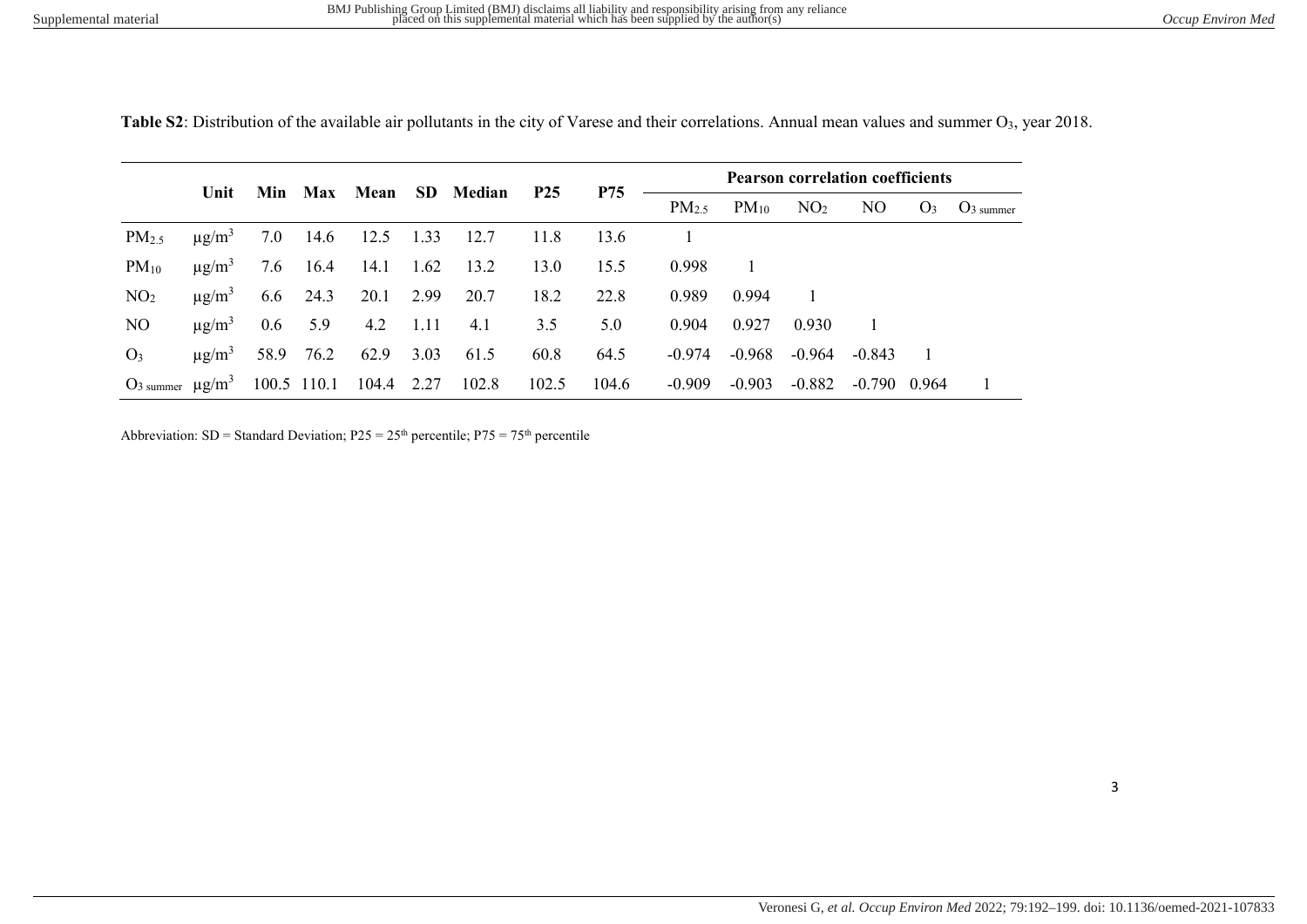|                                    |                        |             |           |       |       |                        |            |            | <b>Pearson correlation coefficients</b> |           |                 |          |       |                    |
|------------------------------------|------------------------|-------------|-----------|-------|-------|------------------------|------------|------------|-----------------------------------------|-----------|-----------------|----------|-------|--------------------|
|                                    | Unit                   |             |           |       |       | Min Max Mean SD Median | <b>P25</b> | <b>P75</b> | PM <sub>2.5</sub>                       | $PM_{10}$ | NO <sub>2</sub> | NO.      |       | $O_3$ $O_3$ summer |
| PM <sub>2.5</sub>                  | $\mu$ g/m <sup>3</sup> | 7.0         | 14.6      | 12.5  | 1.33  | 12.7                   | 11.8       | 13.6       |                                         |           |                 |          |       |                    |
| $PM_{10}$                          | $\mu$ g/m <sup>3</sup> | 7.6         | 16.4      | 14.1  | 1.62  | 13.2                   | 13.0       | 15.5       | 0.998                                   |           |                 |          |       |                    |
| NO <sub>2</sub>                    | $\mu$ g/m <sup>3</sup> | 6.6         | 24.3      | 20.1  | 2.99  | 20.7                   | 18.2       | 22.8       | 0.989                                   | 0.994     |                 |          |       |                    |
| NO.                                | $\mu$ g/m <sup>3</sup> | $0.6\,$     | 5.9       | 4.2   | -1.11 | 4.1                    | 3.5        | 5.0        | 0.904                                   | 0.927     | 0.930           |          |       |                    |
| $O_3$                              | $\mu$ g/m <sup>3</sup> |             | 58.9 76.2 | 62.9  | 3.03  | 61.5                   | 60.8       | 64.5       | $-0.974$                                | -0.968    | -0.964          | $-0.843$ |       |                    |
| $O3$ summer $\mu$ g/m <sup>3</sup> |                        | 100.5 110.1 |           | 104.4 | 2.27  | 102.8                  | 102.5      | 104.6      | $-0.909$                                | $-0.903$  | $-0.882$        | -0.790   | 0.964 |                    |

Table S2: Distribution of the available air pollutants in the city of Varese and their correlations. Annual mean values and summer O<sub>3</sub>, year 2018.

Abbreviation: SD = Standard Deviation;  $P25 = 25<sup>th</sup>$  percentile;  $P75 = 75<sup>th</sup>$  percentile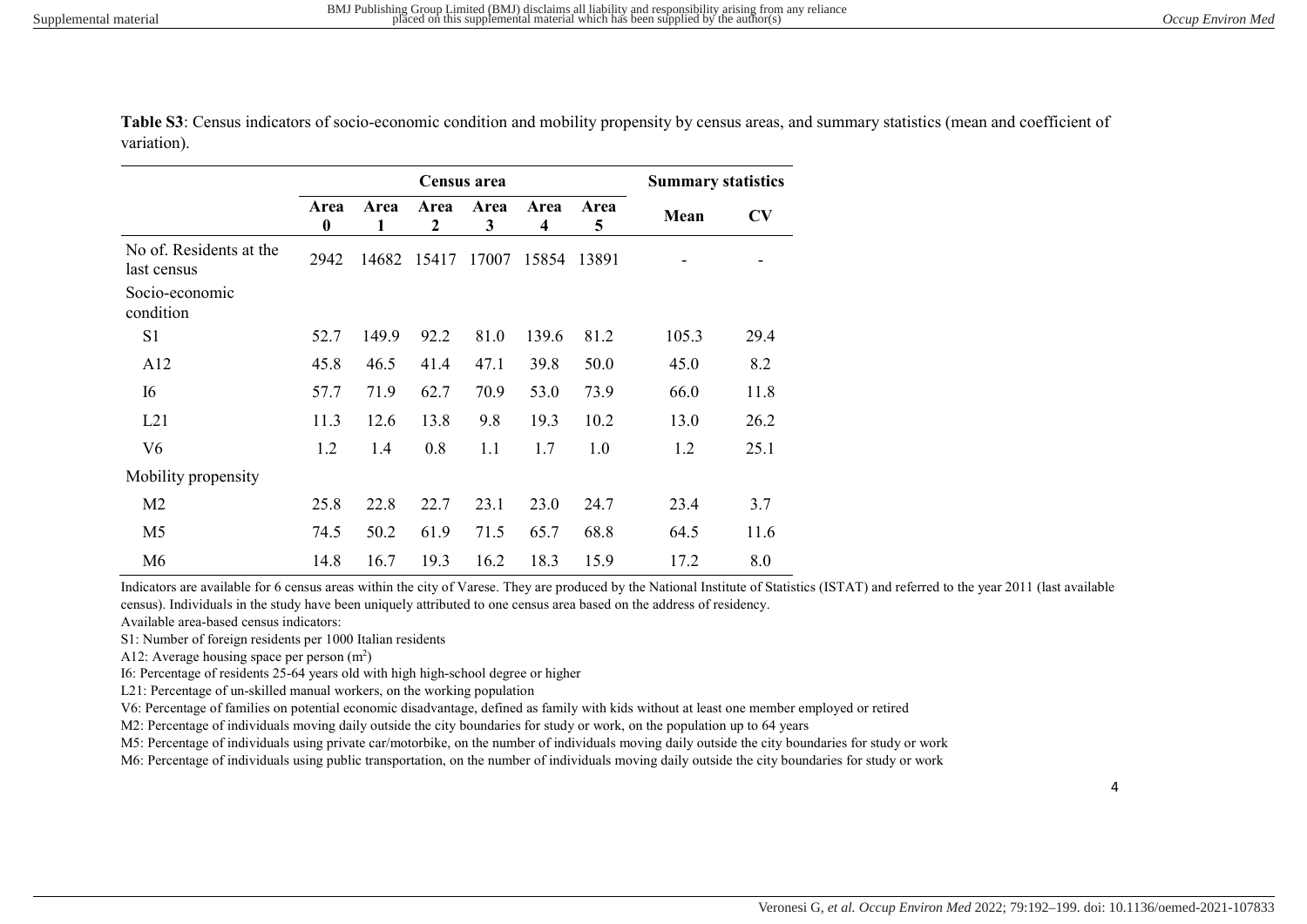|                                        |                          |           | <b>Summary statistics</b> |           |           |           |       |      |
|----------------------------------------|--------------------------|-----------|---------------------------|-----------|-----------|-----------|-------|------|
|                                        | Area<br>$\boldsymbol{0}$ | Area<br>1 | Area<br>$\mathbf{2}$      | Area<br>3 | Area<br>4 | Area<br>5 | Mean  | CV   |
| No of. Residents at the<br>last census | 2942                     | 14682     | 15417                     | 17007     | 15854     | 13891     |       |      |
| Socio-economic<br>condition            |                          |           |                           |           |           |           |       |      |
| S <sub>1</sub>                         | 52.7                     | 149.9     | 92.2                      | 81.0      | 139.6     | 81.2      | 105.3 | 29.4 |
| A12                                    | 45.8                     | 46.5      | 41.4                      | 47.1      | 39.8      | 50.0      | 45.0  | 8.2  |
| 16                                     | 57.7                     | 71.9      | 62.7                      | 70.9      | 53.0      | 73.9      | 66.0  | 11.8 |
| L21                                    | 11.3                     | 12.6      | 13.8                      | 9.8       | 19.3      | 10.2      | 13.0  | 26.2 |
| V6                                     | 1.2                      | 1.4       | 0.8                       | 1.1       | 1.7       | 1.0       | 1.2   | 25.1 |
| Mobility propensity                    |                          |           |                           |           |           |           |       |      |
| M <sub>2</sub>                         | 25.8                     | 22.8      | 22.7                      | 23.1      | 23.0      | 24.7      | 23.4  | 3.7  |
| M <sub>5</sub>                         | 74.5                     | 50.2      | 61.9                      | 71.5      | 65.7      | 68.8      | 64.5  | 11.6 |
| M6                                     | 14.8                     | 16.7      | 19.3                      | 16.2      | 18.3      | 15.9      | 17.2  | 8.0  |

Table S3: Census indicators of socio-economic condition and mobility propensity by census areas, and summary statistics (mean and coefficient of variation).

Indicators are available for 6 census areas within the city of Varese. They are produced by the National Institute of Statistics (ISTAT) and referred to the year 2011 (last available census). Individuals in the study have been uniquely attributed to one census area based on the address of residency.

Available area-based census indicators:

S1: Number of foreign residents per 1000 Italian residents

A12: Average housing space per person  $(m^2)$ 

I6: Percentage of residents 25-64 years old with high high-school degree or higher

L21: Percentage of un-skilled manual workers, on the working population

V6: Percentage of families on potential economic disadvantage, defined as family with kids without at least one member employed or retired

M2: Percentage of individuals moving daily outside the city boundaries for study or work, on the population up to 64 years

M5: Percentage of individuals using private car/motorbike, on the number of individuals moving daily outside the city boundaries for study or work

M6: Percentage of individuals using public transportation, on the number of individuals moving daily outside the city boundaries for study or work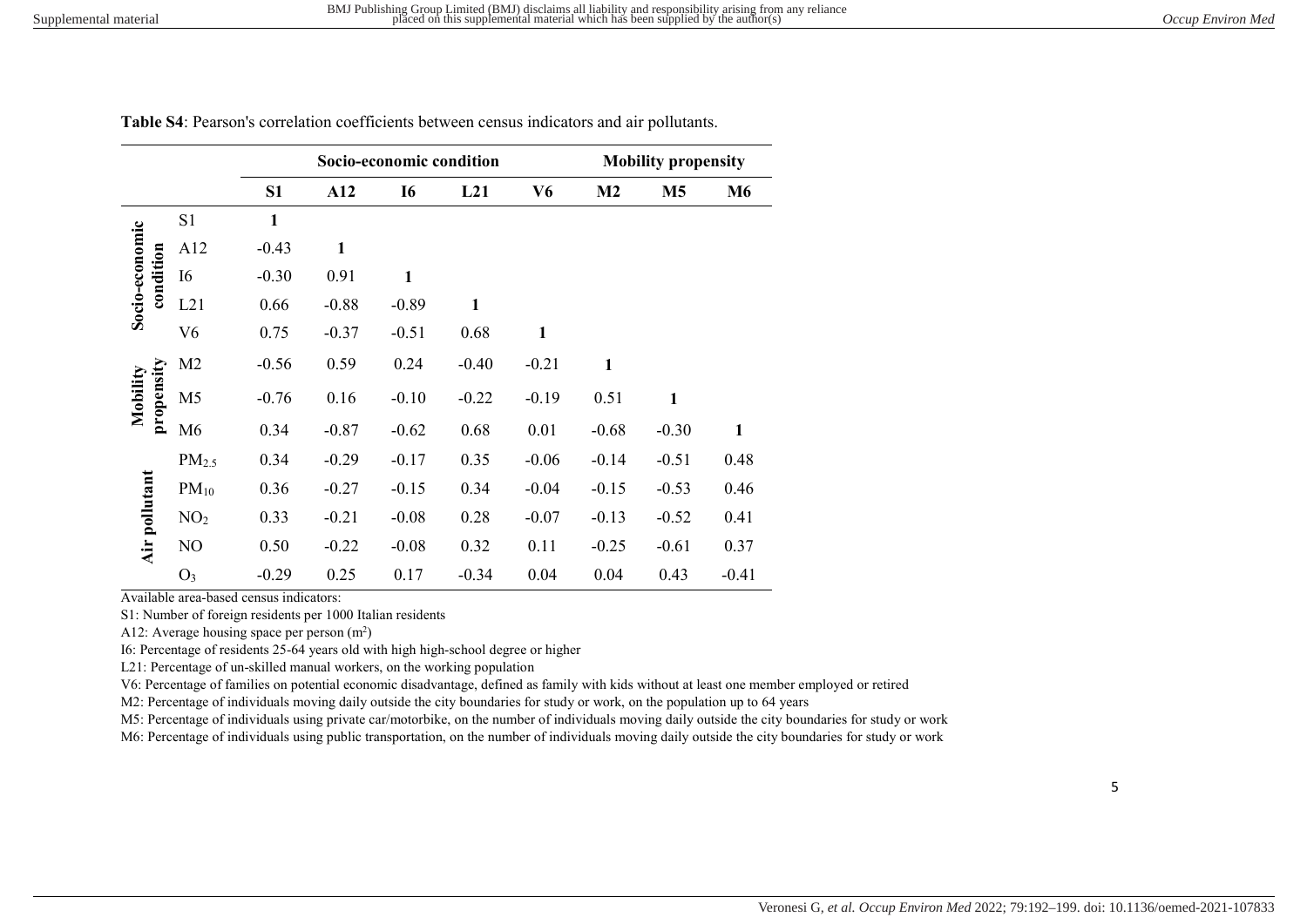| Occup Environ Med |  |  |  |
|-------------------|--|--|--|
|-------------------|--|--|--|

|                        |                   |                |              | Socio-economic condition |              |              |                | <b>Mobility propensity</b> |              |
|------------------------|-------------------|----------------|--------------|--------------------------|--------------|--------------|----------------|----------------------------|--------------|
|                        |                   | S <sub>1</sub> | A12          | <b>I6</b>                | L21          | V6           | M <sub>2</sub> | <b>M5</b>                  | <b>M6</b>    |
|                        | S1                | $\mathbf{1}$   |              |                          |              |              |                |                            |              |
|                        | A12               | $-0.43$        | $\mathbf{1}$ |                          |              |              |                |                            |              |
| condition              | <b>I6</b>         | $-0.30$        | 0.91         | 1                        |              |              |                |                            |              |
| Socio-economic         | L21               | 0.66           | $-0.88$      | $-0.89$                  | $\mathbf{1}$ |              |                |                            |              |
|                        | V6                | 0.75           | $-0.37$      | $-0.51$                  | 0.68         | $\mathbf{1}$ |                |                            |              |
|                        | M <sub>2</sub>    | $-0.56$        | 0.59         | 0.24                     | $-0.40$      | $-0.21$      | $\mathbf{1}$   |                            |              |
| propensity<br>Mobility | M <sub>5</sub>    | $-0.76$        | 0.16         | $-0.10$                  | $-0.22$      | $-0.19$      | 0.51           | $\mathbf{1}$               |              |
|                        | M <sub>6</sub>    | 0.34           | $-0.87$      | $-0.62$                  | 0.68         | 0.01         | $-0.68$        | $-0.30$                    | $\mathbf{1}$ |
|                        | PM <sub>2.5</sub> | 0.34           | $-0.29$      | $-0.17$                  | 0.35         | $-0.06$      | $-0.14$        | $-0.51$                    | 0.48         |
| Air pollutant          | $PM_{10}$         | 0.36           | $-0.27$      | $-0.15$                  | 0.34         | $-0.04$      | $-0.15$        | $-0.53$                    | 0.46         |
|                        | NO <sub>2</sub>   | 0.33           | $-0.21$      | $-0.08$                  | 0.28         | $-0.07$      | $-0.13$        | $-0.52$                    | 0.41         |
|                        | NO                | 0.50           | $-0.22$      | $-0.08$                  | 0.32         | 0.11         | $-0.25$        | $-0.61$                    | 0.37         |
|                        | O <sub>3</sub>    | $-0.29$        | 0.25         | 0.17                     | $-0.34$      | 0.04         | 0.04           | 0.43                       | $-0.41$      |

Table S4: Pearson's correlation coefficients between census indicators and air pollutants.

Available area-based census indicators:

S1: Number of foreign residents per 1000 Italian residents

A12: Average housing space per person  $(m^2)$ 

I6: Percentage of residents 25-64 years old with high high-school degree or higher

L21: Percentage of un-skilled manual workers, on the working population

V6: Percentage of families on potential economic disadvantage, defined as family with kids without at least one member employed or retired

M2: Percentage of individuals moving daily outside the city boundaries for study or work, on the population up to 64 years

M5: Percentage of individuals using private car/motorbike, on the number of individuals moving daily outside the city boundaries for study or work

M6: Percentage of individuals using public transportation, on the number of individuals moving daily outside the city boundaries for study or work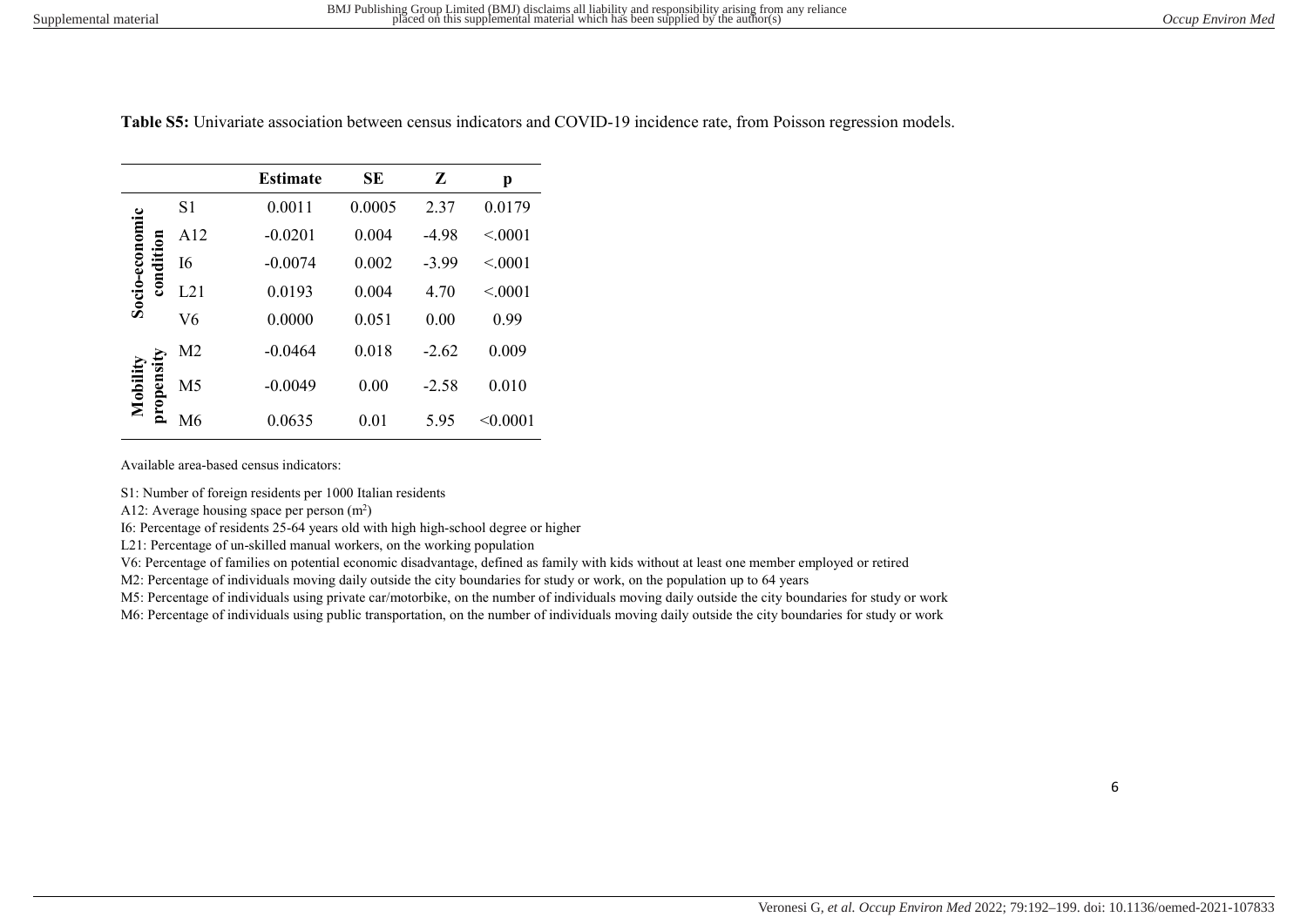|                       |                | <b>Estimate</b> | <b>SE</b> | Z       | p        |
|-----------------------|----------------|-----------------|-----------|---------|----------|
|                       | S1             | 0.0011          | 0.0005    | 2.37    | 0.0179   |
|                       | A12            | $-0.0201$       | 0.004     | $-4.98$ | < 0.001  |
| condition             | I6             | $-0.0074$       | 0.002     | $-3.99$ | < 0001   |
| Socio-economic        | L21            | 0.0193          | 0.004     | 4.70    | < 0001   |
|                       | V <sub>6</sub> | 0.0000          | 0.051     | 0.00    | 0.99     |
|                       | M2             | $-0.0464$       | 0.018     | $-2.62$ | 0.009    |
| propensit<br>Mobility | M <sub>5</sub> | $-0.0049$       | 0.00      | $-2.58$ | 0.010    |
|                       | М6             | 0.0635          | 0.01      | 5.95    | < 0.0001 |

Table S5: Univariate association between census indicators and COVID-19 incidence rate, from Poisson regression models.

Available area-based census indicators:

S1: Number of foreign residents per 1000 Italian residents

A12: Average housing space per person  $(m^2)$ 

I6: Percentage of residents 25-64 years old with high high-school degree or higher

L21: Percentage of un-skilled manual workers, on the working population

V6: Percentage of families on potential economic disadvantage, defined as family with kids without at least one member employed or retired

M2: Percentage of individuals moving daily outside the city boundaries for study or work, on the population up to 64 years

M5: Percentage of individuals using private car/motorbike, on the number of individuals moving daily outside the city boundaries for study or work

M6: Percentage of individuals using public transportation, on the number of individuals moving daily outside the city boundaries for study or work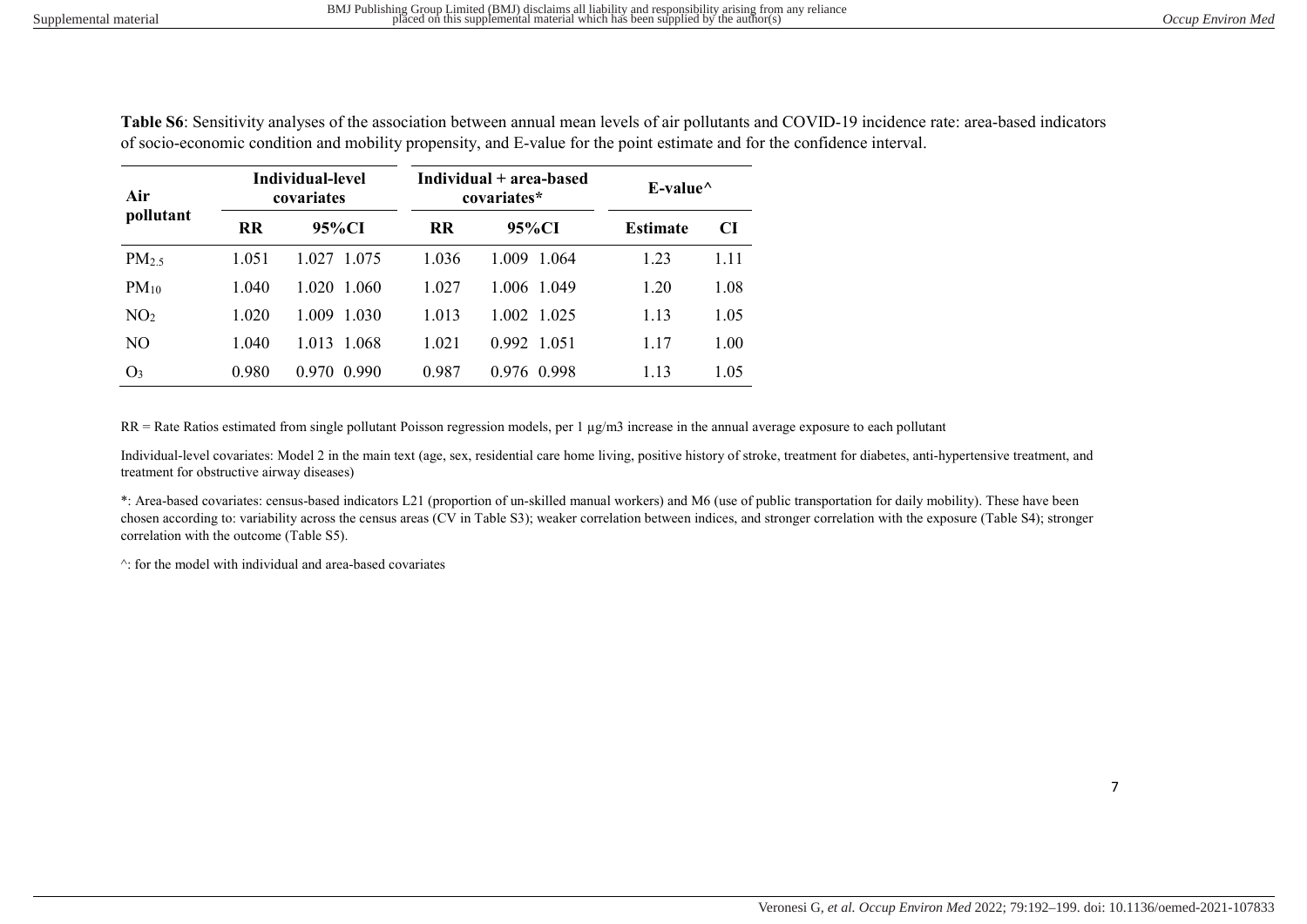Table S6: Sensitivity analyses of the association between annual mean levels of air pollutants and COVID-19 incidence rate: area-based indicators of socio-economic condition and mobility propensity, and E-value for the point estimate and for the confidence interval.

| Air               |           | Individual-level<br>covariates |           | Individual + area-based<br>covariates* | E-value $\wedge$ |      |  |
|-------------------|-----------|--------------------------------|-----------|----------------------------------------|------------------|------|--|
| pollutant         | <b>RR</b> | 95%CI                          | <b>RR</b> | 95%CI                                  | <b>Estimate</b>  | CI   |  |
| PM <sub>2.5</sub> | 1.051     | 1.027 1.075                    | 1.036     | 1.009 1.064                            | 1.23             | 1.11 |  |
| $PM_{10}$         | 1.040     | 1.020<br>1.060                 | 1.027     | 1.006 1.049                            | 1.20             | 1.08 |  |
| NO <sub>2</sub>   | 1.020     | 1.030<br>1.009                 | 1.013     | 1.002 1.025                            | 1.13             | 1.05 |  |
| NO.               | 1.040     | 1.013<br>- 1.068               | 1.021     | 0.992 1.051                            | 1.17             | 1.00 |  |
| O <sub>3</sub>    | 0.980     | 0.990<br>0.970                 | 0.987     | 0.976 0.998                            | 1.13             | 1.05 |  |

RR = Rate Ratios estimated from single pollutant Poisson regression models, per 1 µg/m3 increase in the annual average exposure to each pollutant

Individual-level covariates: Model 2 in the main text (age, sex, residential care home living, positive history of stroke, treatment for diabetes, anti-hypertensive treatment, and treatment for obstructive airway diseases)

\*: Area-based covariates: census-based indicators L21 (proportion of un-skilled manual workers) and M6 (use of public transportation for daily mobility). These have been chosen according to: variability across the census areas (CV in Table S3); weaker correlation between indices, and stronger correlation with the exposure (Table S4); stronger correlation with the outcome (Table S5).

^: for the model with individual and area-based covariates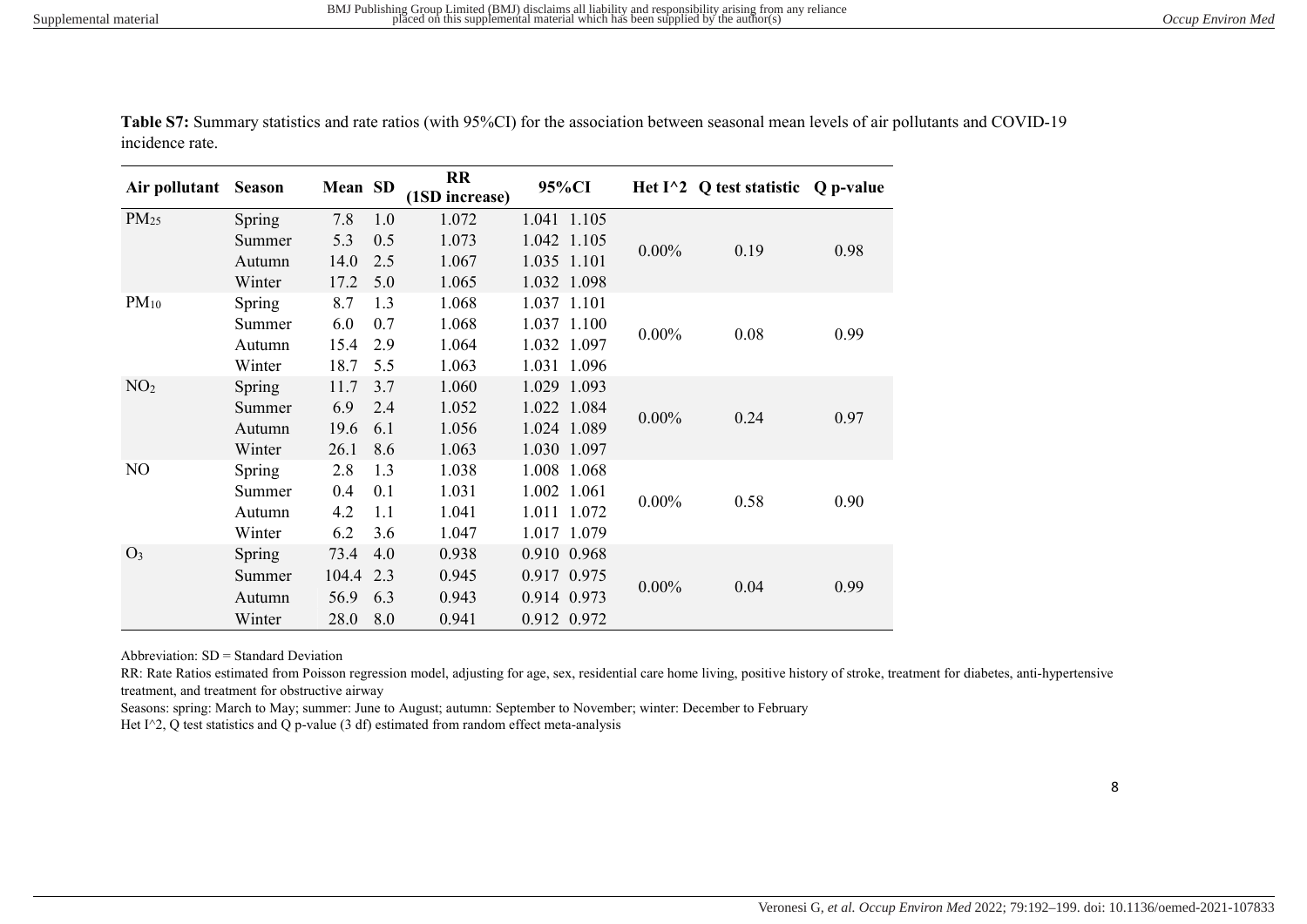| Air pollutant    | <b>Season</b> | Mean SD |     | <b>RR</b><br>(1SD increase) | 95%CI       |          | Het $I^2$ Q test statistic Q p-value |      |
|------------------|---------------|---------|-----|-----------------------------|-------------|----------|--------------------------------------|------|
| PM <sub>25</sub> | Spring        | 7.8     | 1.0 | 1.072                       | 1.041 1.105 |          |                                      |      |
|                  | Summer        | 5.3     | 0.5 | 1.073                       | 1.042 1.105 | $0.00\%$ | 0.19                                 | 0.98 |
|                  | Autumn        | 14.0    | 2.5 | 1.067                       | 1.035 1.101 |          |                                      |      |
|                  | Winter        | 17.2    | 5.0 | 1.065                       | 1.032 1.098 |          |                                      |      |
| $PM_{10}$        | Spring        | 8.7     | 1.3 | 1.068                       | 1.037 1.101 |          |                                      |      |
|                  | Summer        | 6.0     | 0.7 | 1.068                       | 1.037 1.100 | $0.00\%$ | 0.08                                 | 0.99 |
|                  | Autumn        | 15.4    | 2.9 | 1.064                       | 1.032 1.097 |          |                                      |      |
|                  | Winter        | 18.7    | 5.5 | 1.063                       | 1.031 1.096 |          |                                      |      |
| NO <sub>2</sub>  | Spring        | 11.7    | 3.7 | 1.060                       | 1.029 1.093 |          |                                      |      |
|                  | Summer        | 6.9     | 2.4 | 1.052                       | 1.022 1.084 | $0.00\%$ | 0.24                                 | 0.97 |
|                  | Autumn        | 19.6    | 6.1 | 1.056                       | 1.024 1.089 |          |                                      |      |
|                  | Winter        | 26.1    | 8.6 | 1.063                       | 1.030 1.097 |          |                                      |      |
| N <sub>O</sub>   | Spring        | 2.8     | 1.3 | 1.038                       | 1.008 1.068 |          |                                      |      |
|                  | Summer        | 0.4     | 0.1 | 1.031                       | 1.002 1.061 | $0.00\%$ | 0.58                                 | 0.90 |
|                  | Autumn        | 4.2     | 1.1 | 1.041                       | 1.011 1.072 |          |                                      |      |
|                  | Winter        | 6.2     | 3.6 | 1.047                       | 1.017 1.079 |          |                                      |      |
| O <sub>3</sub>   | Spring        | 73.4    | 4.0 | 0.938                       | 0.910 0.968 |          |                                      |      |
|                  | Summer        | 104.4   | 2.3 | 0.945                       | 0.917 0.975 |          |                                      |      |
|                  | Autumn        | 56.9    | 6.3 | 0.943                       | 0.914 0.973 | $0.00\%$ | 0.04                                 | 0.99 |
|                  | Winter        | 28.0    | 8.0 | 0.941                       | 0.912 0.972 |          |                                      |      |

Table S7: Summary statistics and rate ratios (with 95%CI) for the association between seasonal mean levels of air pollutants and COVID-19 incidence rate.

Abbreviation: SD = Standard Deviation

RR: Rate Ratios estimated from Poisson regression model, adjusting for age, sex, residential care home living, positive history of stroke, treatment for diabetes, anti-hypertensive treatment, and treatment for obstructive airway

Seasons: spring: March to May; summer: June to August; autumn: September to November; winter: December to February Het I^2, Q test statistics and Q p-value (3 df) estimated from random effect meta-analysis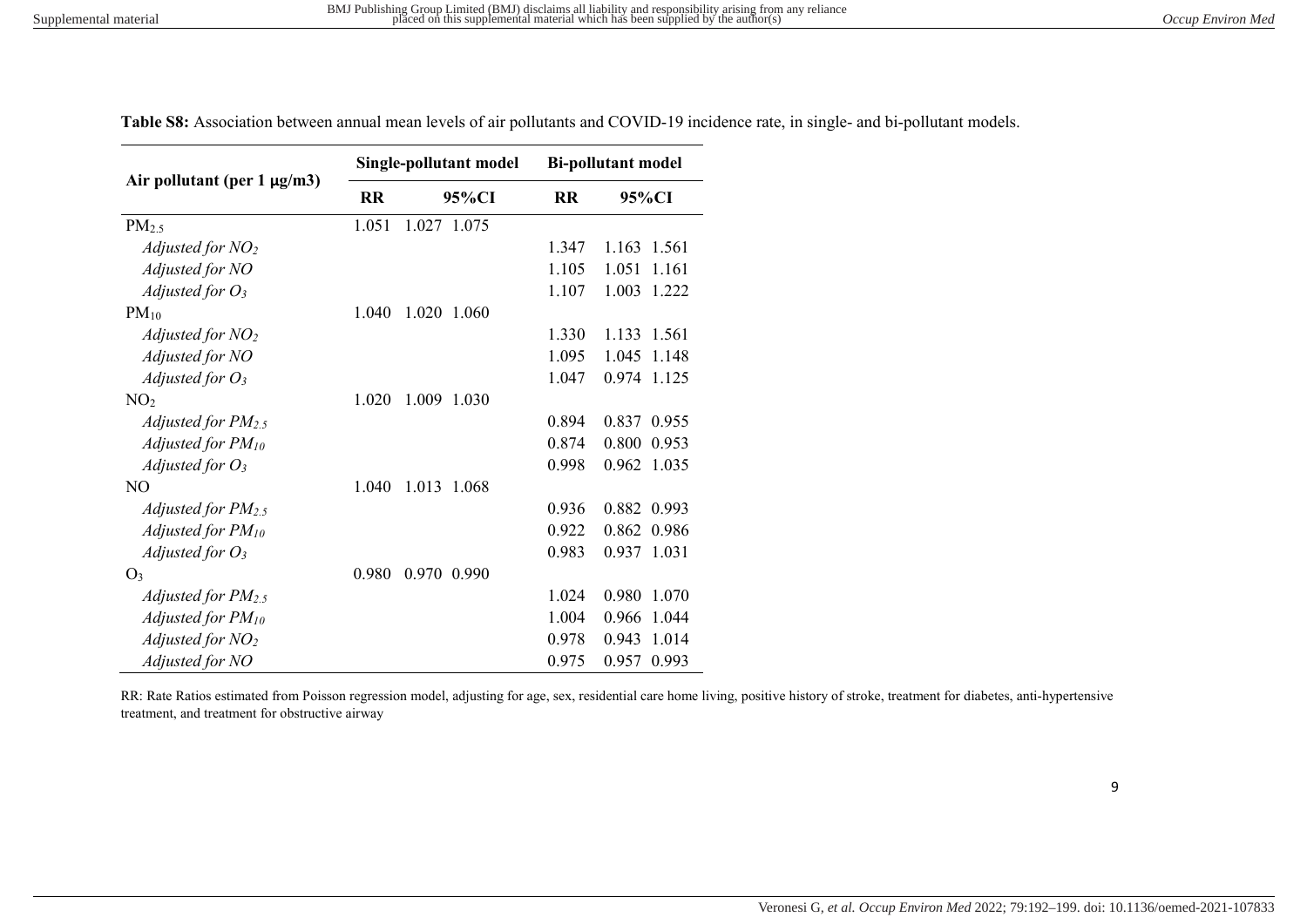| Air pollutant (per $1 \mu g/m3$ ) |           | Single-pollutant model | <b>Bi-pollutant model</b> |                |  |
|-----------------------------------|-----------|------------------------|---------------------------|----------------|--|
|                                   | <b>RR</b> | 95%CI                  | <b>RR</b>                 | 95%CI          |  |
| $PM_{2.5}$                        | 1.051     | 1.027 1.075            |                           |                |  |
| Adjusted for $NO2$                |           |                        | 1.347                     | 1.163 1.561    |  |
| Adjusted for NO                   |           |                        | 1.105                     | 1.051<br>1.161 |  |
| Adjusted for $O_3$                |           |                        | 1.107                     | 1.003<br>1.222 |  |
| $PM_{10}$                         | 1.040     | 1.020<br>1.060         |                           |                |  |
| Adjusted for $NO2$                |           |                        | 1.330                     | 1.133 1.561    |  |
| Adjusted for NO                   |           |                        | 1.095                     | 1.045<br>1.148 |  |
| Adjusted for $O_3$                |           |                        | 1.047                     | 0.974<br>1.125 |  |
| NO <sub>2</sub>                   | 1.020     | 1.009<br>1.030         |                           |                |  |
| Adjusted for $PM_{2.5}$           |           |                        | 0.894                     | 0.837<br>0.955 |  |
| Adjusted for PM10                 |           |                        | 0.874                     | 0.800<br>0.953 |  |
| Adjusted for $O_3$                |           |                        | 0.998                     | 0.962<br>1.035 |  |
| NO.                               | 1.040     | 1.013<br>1.068         |                           |                |  |
| Adjusted for $PM_{2.5}$           |           |                        | 0.936                     | 0.882 0.993    |  |
| Adjusted for PM10                 |           |                        | 0.922                     | 0.862 0.986    |  |
| Adjusted for $O_3$                |           |                        | 0.983                     | 0.937 1.031    |  |
| O <sub>3</sub>                    | 0.980     | 0.970<br>0.990         |                           |                |  |
| Adjusted for $PM_{2.5}$           |           |                        | 1.024                     | 0.980<br>1.070 |  |
| Adjusted for PM10                 |           |                        | 1.004                     | 0.966<br>1.044 |  |
| Adjusted for $NO2$                |           |                        | 0.978                     | 1.014<br>0.943 |  |
| Adjusted for NO                   |           |                        | 0.975                     | 0.957<br>0.993 |  |

Table S8: Association between annual mean levels of air pollutants and COVID-19 incidence rate, in single- and bi-pollutant models.

RR: Rate Ratios estimated from Poisson regression model, adjusting for age, sex, residential care home living, positive history of stroke, treatment for diabetes, anti-hypertensive treatment, and treatment for obstructive airway